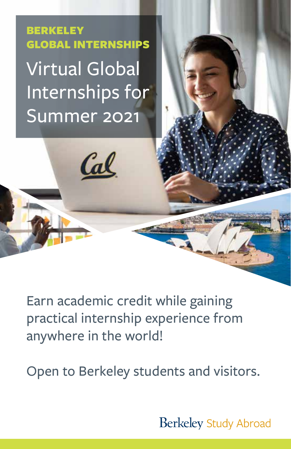BERKELEY GLOBAL INTERNSHIPS Virtual Global Internships for Summer 2021

<u>Cal</u>

Earn academic credit while gaining practical internship experience from anywhere in the world!

Open to Berkeley students and visitors.

**Berkeley Study Abroad**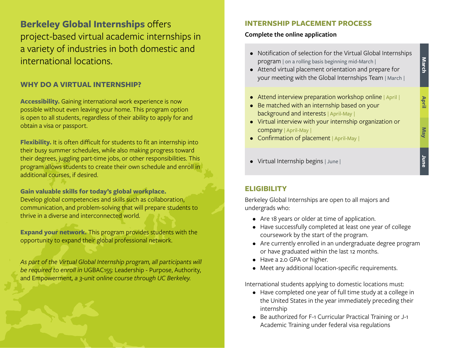**Berkeley Global Internships** offers project-based virtual academic internships in a variety of industries in both domestic and international locations.

## **WHY DO A VIRTUAL INTERNSHIP?**

**Accessibility.** Gaining international work experience is now possible without even leaving your home. This program option is open to all students, regardless of their ability to apply for and obtain a visa or passport.

**Flexibility.** It is often difficult for students to fit an internship into their busy summer schedules, while also making progress toward their degrees, juggling part-time jobs, or other responsibilities. This program allows students to create their own schedule and enroll in additional courses, if desired.

**Gain valuable skills for today's global workplace.**  Develop global competencies and skills such as collaboration, communication, and problem-solving that will prepare students to thrive in a diverse and interconnected world.

**Expand your network.** This program provides students with the opportunity to expand their global professional network.

As part of the Virtual Global Internship program, all participants will *be required to enroll in* UGBAC155: Leadership - Purpose, Authority, and Empowerment*, a 3-unit online course through UC Berkeley.*

## **INTERNSHIP PLACEMENT PROCESS**

## **Complete the online application**

• Notification of selection for the Virtual Global Internships program | on a rolling basis beginning mid-March |

**March**

**May April**

Ke<sub>M</sub>

April

**June**

- Attend virtual placement orientation and prepare for your meeting with the Global Internships Team | March |
- Attend interview preparation workshop online | April |
- Be matched with an internship based on your background and interests | April-May |
- Virtual interview with your internship organization or company | April-May |
- Confirmation of placement | April-May |
- Virtual Internship begins | June |

# **ELIGIBILITY**

Berkeley Global Internships are open to all majors and undergrads who:

- Are 18 years or older at time of application.
- Have successfully completed at least one year of college coursework by the start of the program.
- Are currently enrolled in an undergraduate degree program or have graduated within the last 12 months.
- Have a 2.0 GPA or higher.
- Meet any additional location-specific requirements.

International students applying to domestic locations must:

- Have completed one year of full time study at a college in the United States in the year immediately preceding their internship
- Be authorized for F-1 Curricular Practical Training or J-1 Academic Training under federal visa regulations